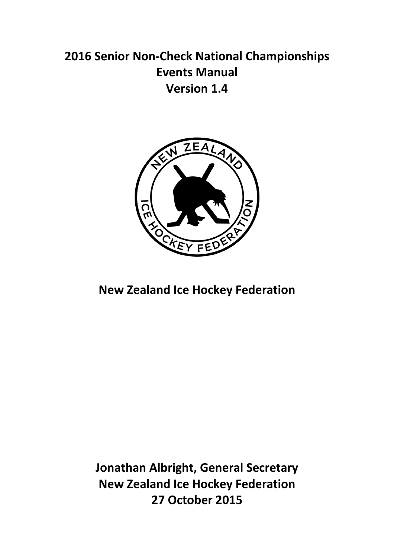# **2016 Senior Non-Check National Championships Events Manual Version 1.4**



## **New Zealand Ice Hockey Federation**

**Jonathan Albright, General Secretary New Zealand Ice Hockey Federation 27 October 2015**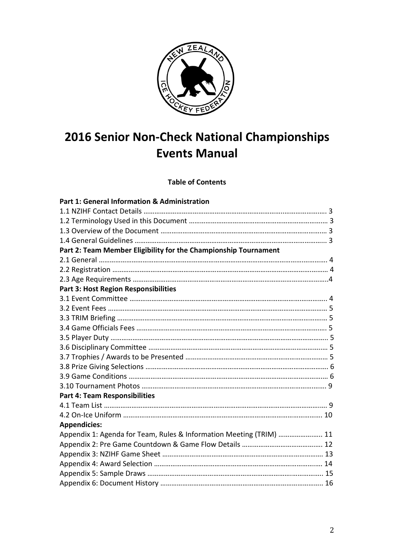

# **2016 Senior Non-Check National Championships Events Manual**

**Table of Contents** 

| Part 1: General Information & Administration                        |
|---------------------------------------------------------------------|
|                                                                     |
|                                                                     |
|                                                                     |
|                                                                     |
| Part 2: Team Member Eligibility for the Championship Tournament     |
|                                                                     |
|                                                                     |
|                                                                     |
| Part 3: Host Region Responsibilities                                |
|                                                                     |
|                                                                     |
|                                                                     |
|                                                                     |
|                                                                     |
|                                                                     |
|                                                                     |
|                                                                     |
|                                                                     |
|                                                                     |
| <b>Part 4: Team Responsibilities</b>                                |
|                                                                     |
|                                                                     |
| <b>Appendicies:</b>                                                 |
| Appendix 1: Agenda for Team, Rules & Information Meeting (TRIM)  11 |
|                                                                     |
|                                                                     |
|                                                                     |
|                                                                     |
|                                                                     |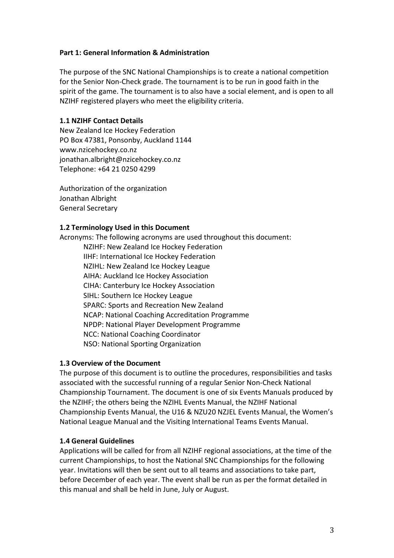#### **Part 1: General Information & Administration**

The purpose of the SNC National Championships is to create a national competition for the Senior Non-Check grade. The tournament is to be run in good faith in the spirit of the game. The tournament is to also have a social element, and is open to all NZIHF registered players who meet the eligibility criteria.

#### **1.1 NZIHF Contact Details**

New Zealand Ice Hockey Federation PO Box 47381, Ponsonby, Auckland 1144 www.nzicehockey.co.nz jonathan.albright@nzicehockey.co.nz Telephone: +64 21 0250 4299

Authorization of the organization Jonathan Albright General Secretary

#### **1.2 Terminology Used in this Document**

Acronyms: The following acronyms are used throughout this document:

 NZIHF: New Zealand Ice Hockey Federation IIHF: International Ice Hockey Federation NZIHL: New Zealand Ice Hockey League AIHA: Auckland Ice Hockey Association CIHA: Canterbury Ice Hockey Association SIHL: Southern Ice Hockey League SPARC: Sports and Recreation New Zealand NCAP: National Coaching Accreditation Programme NPDP: National Player Development Programme NCC: National Coaching Coordinator NSO: National Sporting Organization

#### **1.3 Overview of the Document**

The purpose of this document is to outline the procedures, responsibilities and tasks associated with the successful running of a regular Senior Non-Check National Championship Tournament. The document is one of six Events Manuals produced by the NZIHF; the others being the NZIHL Events Manual, the NZIHF National Championship Events Manual, the U16 & NZU20 NZJEL Events Manual, the Women's National League Manual and the Visiting International Teams Events Manual.

#### **1.4 General Guidelines**

Applications will be called for from all NZIHF regional associations, at the time of the current Championships, to host the National SNC Championships for the following year. Invitations will then be sent out to all teams and associations to take part, before December of each year. The event shall be run as per the format detailed in this manual and shall be held in June, July or August.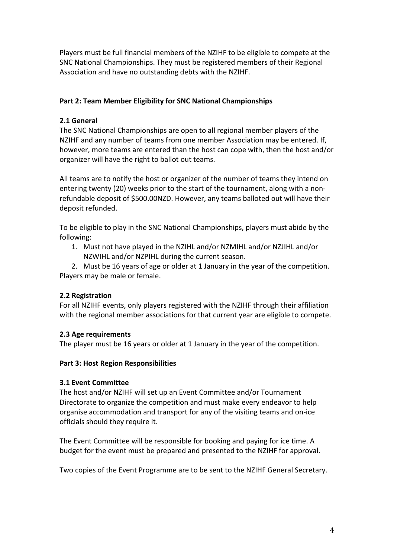Players must be full financial members of the NZIHF to be eligible to compete at the SNC National Championships. They must be registered members of their Regional Association and have no outstanding debts with the NZIHF.

## **Part 2: Team Member Eligibility for SNC National Championships**

## **2.1 General**

The SNC National Championships are open to all regional member players of the NZIHF and any number of teams from one member Association may be entered. If, however, more teams are entered than the host can cope with, then the host and/or organizer will have the right to ballot out teams.

All teams are to notify the host or organizer of the number of teams they intend on entering twenty (20) weeks prior to the start of the tournament, along with a nonrefundable deposit of \$500.00NZD. However, any teams balloted out will have their deposit refunded.

To be eligible to play in the SNC National Championships, players must abide by the following:

1. Must not have played in the NZIHL and/or NZMIHL and/or NZJIHL and/or NZWIHL and/or NZPIHL during the current season.

2. Must be 16 years of age or older at 1 January in the year of the competition. Players may be male or female.

#### **2.2 Registration**

For all NZIHF events, only players registered with the NZIHF through their affiliation with the regional member associations for that current year are eligible to compete.

#### **2.3 Age requirements**

The player must be 16 years or older at 1 January in the year of the competition.

#### **Part 3: Host Region Responsibilities**

#### **3.1 Event Committee**

The host and/or NZIHF will set up an Event Committee and/or Tournament Directorate to organize the competition and must make every endeavor to help organise accommodation and transport for any of the visiting teams and on-ice officials should they require it.

The Event Committee will be responsible for booking and paying for ice time. A budget for the event must be prepared and presented to the NZIHF for approval.

Two copies of the Event Programme are to be sent to the NZIHF General Secretary.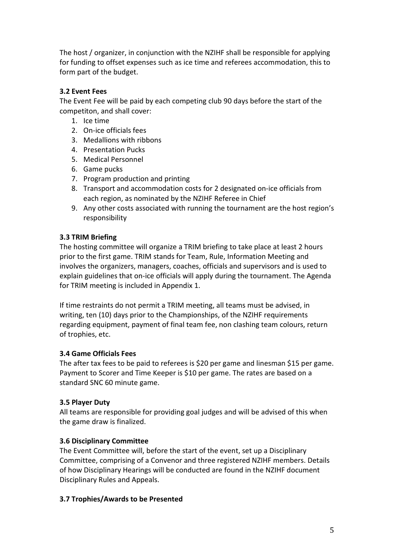The host / organizer, in conjunction with the NZIHF shall be responsible for applying for funding to offset expenses such as ice time and referees accommodation, this to form part of the budget.

## **3.2 Event Fees**

The Event Fee will be paid by each competing club 90 days before the start of the competiton, and shall cover:

- 1. Ice time
- 2. On-ice officials fees
- 3. Medallions with ribbons
- 4. Presentation Pucks
- 5. Medical Personnel
- 6. Game pucks
- 7. Program production and printing
- 8. Transport and accommodation costs for 2 designated on-ice officials from each region, as nominated by the NZIHF Referee in Chief
- 9. Any other costs associated with running the tournament are the host region's responsibility

## **3.3 TRIM Briefing**

The hosting committee will organize a TRIM briefing to take place at least 2 hours prior to the first game. TRIM stands for Team, Rule, Information Meeting and involves the organizers, managers, coaches, officials and supervisors and is used to explain guidelines that on-ice officials will apply during the tournament. The Agenda for TRIM meeting is included in Appendix 1.

If time restraints do not permit a TRIM meeting, all teams must be advised, in writing, ten (10) days prior to the Championships, of the NZIHF requirements regarding equipment, payment of final team fee, non clashing team colours, return of trophies, etc.

#### **3.4 Game Officials Fees**

The after tax fees to be paid to referees is \$20 per game and linesman \$15 per game. Payment to Scorer and Time Keeper is \$10 per game. The rates are based on a standard SNC 60 minute game.

#### **3.5 Player Duty**

All teams are responsible for providing goal judges and will be advised of this when the game draw is finalized.

#### **3.6 Disciplinary Committee**

The Event Committee will, before the start of the event, set up a Disciplinary Committee, comprising of a Convenor and three registered NZIHF members. Details of how Disciplinary Hearings will be conducted are found in the NZIHF document Disciplinary Rules and Appeals.

#### **3.7 Trophies/Awards to be Presented**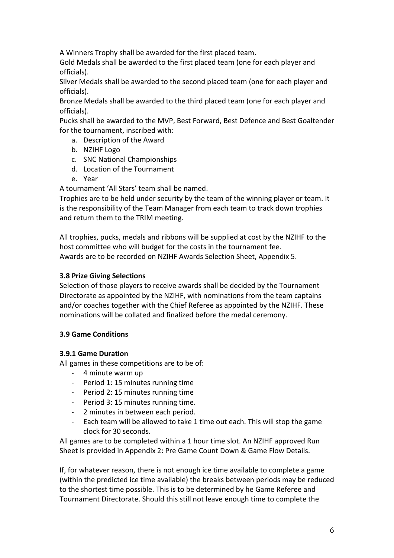A Winners Trophy shall be awarded for the first placed team.

Gold Medals shall be awarded to the first placed team (one for each player and officials).

Silver Medals shall be awarded to the second placed team (one for each player and officials).

Bronze Medals shall be awarded to the third placed team (one for each player and officials).

Pucks shall be awarded to the MVP, Best Forward, Best Defence and Best Goaltender for the tournament, inscribed with:

- a. Description of the Award
- b. NZIHF Logo
- c. SNC National Championships
- d. Location of the Tournament
- e. Year

A tournament 'All Stars' team shall be named.

Trophies are to be held under security by the team of the winning player or team. It is the responsibility of the Team Manager from each team to track down trophies and return them to the TRIM meeting.

All trophies, pucks, medals and ribbons will be supplied at cost by the NZIHF to the host committee who will budget for the costs in the tournament fee. Awards are to be recorded on NZIHF Awards Selection Sheet, Appendix 5.

### **3.8 Prize Giving Selections**

Selection of those players to receive awards shall be decided by the Tournament Directorate as appointed by the NZIHF, with nominations from the team captains and/or coaches together with the Chief Referee as appointed by the NZIHF. These nominations will be collated and finalized before the medal ceremony.

#### **3.9 Game Conditions**

#### **3.9.1 Game Duration**

All games in these competitions are to be of:

- 4 minute warm up
- Period 1: 15 minutes running time
- Period 2: 15 minutes running time
- Period 3: 15 minutes running time.
- 2 minutes in between each period.
- Each team will be allowed to take 1 time out each. This will stop the game clock for 30 seconds.

All games are to be completed within a 1 hour time slot. An NZIHF approved Run Sheet is provided in Appendix 2: Pre Game Count Down & Game Flow Details.

If, for whatever reason, there is not enough ice time available to complete a game (within the predicted ice time available) the breaks between periods may be reduced to the shortest time possible. This is to be determined by he Game Referee and Tournament Directorate. Should this still not leave enough time to complete the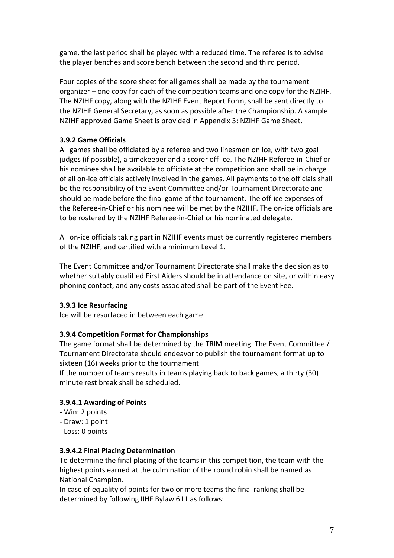game, the last period shall be played with a reduced time. The referee is to advise the player benches and score bench between the second and third period.

Four copies of the score sheet for all games shall be made by the tournament organizer – one copy for each of the competition teams and one copy for the NZIHF. The NZIHF copy, along with the NZIHF Event Report Form, shall be sent directly to the NZIHF General Secretary, as soon as possible after the Championship. A sample NZIHF approved Game Sheet is provided in Appendix 3: NZIHF Game Sheet.

## **3.9.2 Game Officials**

All games shall be officiated by a referee and two linesmen on ice, with two goal judges (if possible), a timekeeper and a scorer off-ice. The NZIHF Referee-in-Chief or his nominee shall be available to officiate at the competition and shall be in charge of all on-ice officials actively involved in the games. All payments to the officials shall be the responsibility of the Event Committee and/or Tournament Directorate and should be made before the final game of the tournament. The off-ice expenses of the Referee-in-Chief or his nominee will be met by the NZIHF. The on-ice officials are to be rostered by the NZIHF Referee-in-Chief or his nominated delegate.

All on-ice officials taking part in NZIHF events must be currently registered members of the NZIHF, and certified with a minimum Level 1.

The Event Committee and/or Tournament Directorate shall make the decision as to whether suitably qualified First Aiders should be in attendance on site, or within easy phoning contact, and any costs associated shall be part of the Event Fee.

#### **3.9.3 Ice Resurfacing**

Ice will be resurfaced in between each game.

#### **3.9.4 Competition Format for Championships**

The game format shall be determined by the TRIM meeting. The Event Committee / Tournament Directorate should endeavor to publish the tournament format up to sixteen (16) weeks prior to the tournament

If the number of teams results in teams playing back to back games, a thirty (30) minute rest break shall be scheduled.

#### **3.9.4.1 Awarding of Points**

- Win: 2 points
- Draw: 1 point
- Loss: 0 points

#### **3.9.4.2 Final Placing Determination**

To determine the final placing of the teams in this competition, the team with the highest points earned at the culmination of the round robin shall be named as National Champion.

In case of equality of points for two or more teams the final ranking shall be determined by following IIHF Bylaw 611 as follows: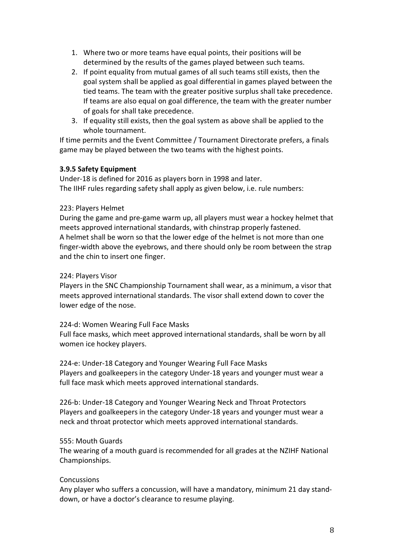- 1. Where two or more teams have equal points, their positions will be determined by the results of the games played between such teams.
- 2. If point equality from mutual games of all such teams still exists, then the goal system shall be applied as goal differential in games played between the tied teams. The team with the greater positive surplus shall take precedence. If teams are also equal on goal difference, the team with the greater number of goals for shall take precedence.
- 3. If equality still exists, then the goal system as above shall be applied to the whole tournament.

If time permits and the Event Committee / Tournament Directorate prefers, a finals game may be played between the two teams with the highest points.

#### **3.9.5 Safety Equipment**

Under-18 is defined for 2016 as players born in 1998 and later. The IIHF rules regarding safety shall apply as given below, i.e. rule numbers:

#### 223: Players Helmet

During the game and pre-game warm up, all players must wear a hockey helmet that meets approved international standards, with chinstrap properly fastened. A helmet shall be worn so that the lower edge of the helmet is not more than one finger-width above the eyebrows, and there should only be room between the strap and the chin to insert one finger.

#### 224: Players Visor

Players in the SNC Championship Tournament shall wear, as a minimum, a visor that meets approved international standards. The visor shall extend down to cover the lower edge of the nose.

#### 224-d: Women Wearing Full Face Masks

Full face masks, which meet approved international standards, shall be worn by all women ice hockey players.

224-e: Under-18 Category and Younger Wearing Full Face Masks Players and goalkeepers in the category Under-18 years and younger must wear a full face mask which meets approved international standards.

226-b: Under-18 Category and Younger Wearing Neck and Throat Protectors Players and goalkeepers in the category Under-18 years and younger must wear a neck and throat protector which meets approved international standards.

#### 555: Mouth Guards

The wearing of a mouth guard is recommended for all grades at the NZIHF National Championships.

#### **Concussions**

Any player who suffers a concussion, will have a mandatory, minimum 21 day standdown, or have a doctor's clearance to resume playing.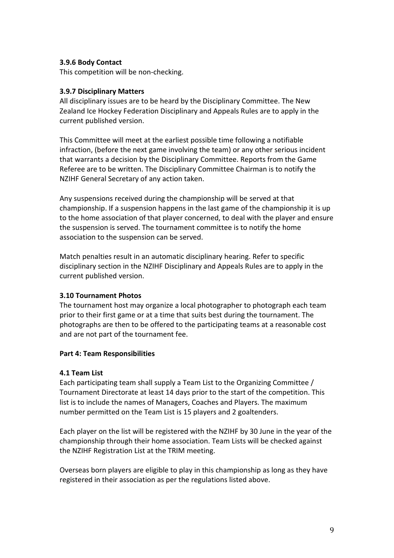#### **3.9.6 Body Contact**

This competition will be non-checking.

#### **3.9.7 Disciplinary Matters**

All disciplinary issues are to be heard by the Disciplinary Committee. The New Zealand Ice Hockey Federation Disciplinary and Appeals Rules are to apply in the current published version.

This Committee will meet at the earliest possible time following a notifiable infraction, (before the next game involving the team) or any other serious incident that warrants a decision by the Disciplinary Committee. Reports from the Game Referee are to be written. The Disciplinary Committee Chairman is to notify the NZIHF General Secretary of any action taken.

Any suspensions received during the championship will be served at that championship. If a suspension happens in the last game of the championship it is up to the home association of that player concerned, to deal with the player and ensure the suspension is served. The tournament committee is to notify the home association to the suspension can be served.

Match penalties result in an automatic disciplinary hearing. Refer to specific disciplinary section in the NZIHF Disciplinary and Appeals Rules are to apply in the current published version.

#### **3.10 Tournament Photos**

The tournament host may organize a local photographer to photograph each team prior to their first game or at a time that suits best during the tournament. The photographs are then to be offered to the participating teams at a reasonable cost and are not part of the tournament fee.

#### **Part 4: Team Responsibilities**

#### **4.1 Team List**

Each participating team shall supply a Team List to the Organizing Committee / Tournament Directorate at least 14 days prior to the start of the competition. This list is to include the names of Managers, Coaches and Players. The maximum number permitted on the Team List is 15 players and 2 goaltenders.

Each player on the list will be registered with the NZIHF by 30 June in the year of the championship through their home association. Team Lists will be checked against the NZIHF Registration List at the TRIM meeting.

Overseas born players are eligible to play in this championship as long as they have registered in their association as per the regulations listed above.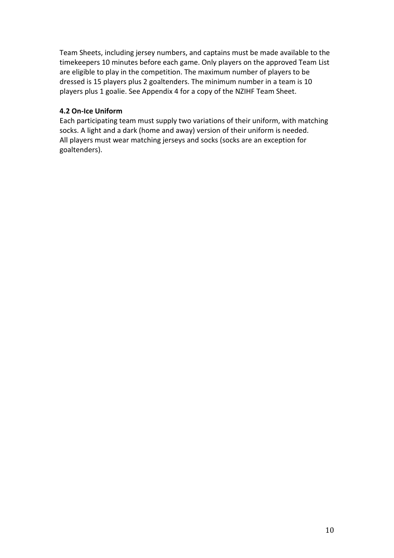Team Sheets, including jersey numbers, and captains must be made available to the timekeepers 10 minutes before each game. Only players on the approved Team List are eligible to play in the competition. The maximum number of players to be dressed is 15 players plus 2 goaltenders. The minimum number in a team is 10 players plus 1 goalie. See Appendix 4 for a copy of the NZIHF Team Sheet.

#### **4.2 On-Ice Uniform**

Each participating team must supply two variations of their uniform, with matching socks. A light and a dark (home and away) version of their uniform is needed. All players must wear matching jerseys and socks (socks are an exception for goaltenders).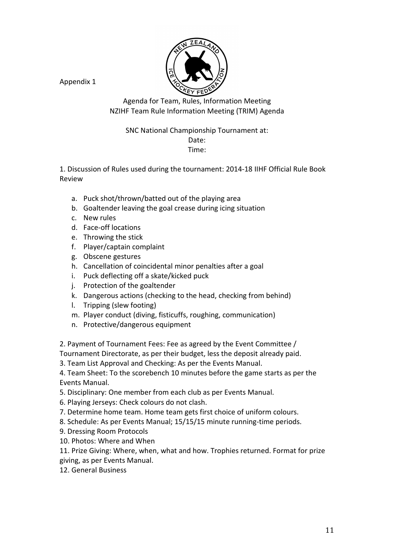

Agenda for Team, Rules, Information Meeting NZIHF Team Rule Information Meeting (TRIM) Agenda

### SNC National Championship Tournament at:

## Date:

#### Time:

1. Discussion of Rules used during the tournament: 2014-18 IIHF Official Rule Book Review

- a. Puck shot/thrown/batted out of the playing area
- b. Goaltender leaving the goal crease during icing situation
- c. New rules
- d. Face-off locations
- e. Throwing the stick
- f. Player/captain complaint
- g. Obscene gestures
- h. Cancellation of coincidental minor penalties after a goal
- i. Puck deflecting off a skate/kicked puck
- j. Protection of the goaltender
- k. Dangerous actions (checking to the head, checking from behind)
- l. Tripping (slew footing)
- m. Player conduct (diving, fisticuffs, roughing, communication)
- n. Protective/dangerous equipment

2. Payment of Tournament Fees: Fee as agreed by the Event Committee / Tournament Directorate, as per their budget, less the deposit already paid.

3. Team List Approval and Checking: As per the Events Manual.

4. Team Sheet: To the scorebench 10 minutes before the game starts as per the Events Manual.

- 5. Disciplinary: One member from each club as per Events Manual.
- 6. Playing Jerseys: Check colours do not clash.
- 7. Determine home team. Home team gets first choice of uniform colours.
- 8. Schedule: As per Events Manual; 15/15/15 minute running-time periods.
- 9. Dressing Room Protocols
- 10. Photos: Where and When

11. Prize Giving: Where, when, what and how. Trophies returned. Format for prize giving, as per Events Manual.

12. General Business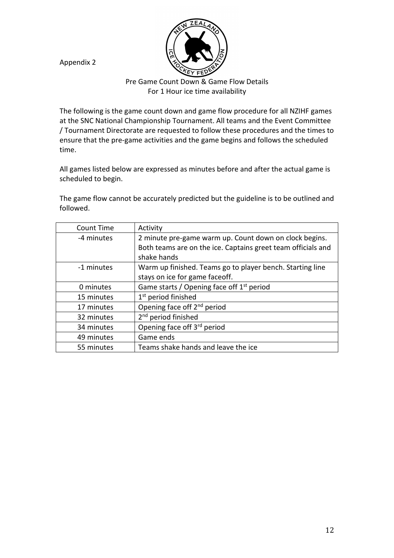Pre Game Count Down & Game Flow Details For 1 Hour ice time availability

The following is the game count down and game flow procedure for all NZIHF games at the SNC National Championship Tournament. All teams and the Event Committee / Tournament Directorate are requested to follow these procedures and the times to ensure that the pre-game activities and the game begins and follows the scheduled time.

All games listed below are expressed as minutes before and after the actual game is scheduled to begin.

The game flow cannot be accurately predicted but the guideline is to be outlined and followed.

| Count Time | Activity                                                     |
|------------|--------------------------------------------------------------|
| -4 minutes | 2 minute pre-game warm up. Count down on clock begins.       |
|            | Both teams are on the ice. Captains greet team officials and |
|            | shake hands                                                  |
| -1 minutes | Warm up finished. Teams go to player bench. Starting line    |
|            | stays on ice for game faceoff.                               |
| 0 minutes  | Game starts / Opening face off 1 <sup>st</sup> period        |
| 15 minutes | 1 <sup>st</sup> period finished                              |
| 17 minutes | Opening face off 2 <sup>nd</sup> period                      |
| 32 minutes | 2 <sup>nd</sup> period finished                              |
| 34 minutes | Opening face off 3rd period                                  |
| 49 minutes | Game ends                                                    |
| 55 minutes | Teams shake hands and leave the ice                          |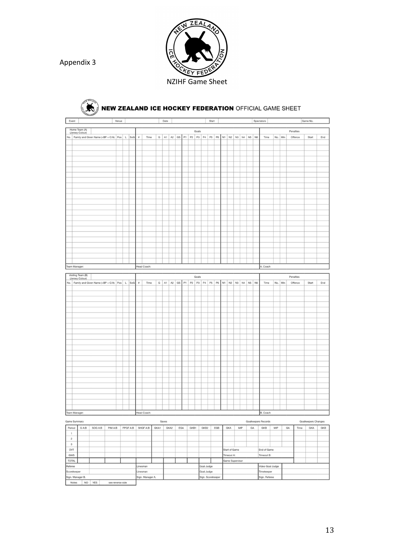

| Event                                                                                                              |                   |                                                         |         | Venue |          |         |                    |             |      | Date     |      |     |      |             |                          | Start |                |                                                                              |    |     |          | Spectators                     |     |         |            | Game No.            |     |
|--------------------------------------------------------------------------------------------------------------------|-------------------|---------------------------------------------------------|---------|-------|----------|---------|--------------------|-------------|------|----------|------|-----|------|-------------|--------------------------|-------|----------------|------------------------------------------------------------------------------|----|-----|----------|--------------------------------|-----|---------|------------|---------------------|-----|
|                                                                                                                    | Home Team (A)     |                                                         |         |       |          |         |                    |             |      |          |      |     |      |             |                          |       |                |                                                                              |    |     |          |                                |     |         |            |                     |     |
|                                                                                                                    | (Jersey Colour)   |                                                         |         |       |          |         |                    |             |      |          |      |     |      | Goals       |                          |       |                |                                                                              |    |     |          |                                |     |         | Penalties  |                     |     |
|                                                                                                                    |                   | No.   Family and Given Name (+BP + C/A)   Pos   L   SoG |         |       |          |         | $\boldsymbol{\pi}$ | Time        |      |          |      |     |      |             |                          |       |                | G   A1   A2   GS   P1   P2   P3   P4   P5   P6   N1   N2   N3   N4   N5   N6 |    |     |          | Time                           |     | No. Min | Offence    | Start               | End |
|                                                                                                                    |                   |                                                         |         |       |          |         |                    |             |      |          |      |     |      |             |                          |       |                |                                                                              |    |     |          |                                |     |         |            |                     |     |
|                                                                                                                    |                   |                                                         |         |       |          |         |                    |             |      |          |      |     |      |             |                          |       |                |                                                                              |    |     |          |                                |     |         |            |                     |     |
|                                                                                                                    |                   |                                                         |         |       |          |         |                    |             |      |          |      |     |      |             |                          |       |                |                                                                              |    |     |          |                                |     |         |            |                     |     |
|                                                                                                                    |                   |                                                         |         |       |          |         |                    |             |      |          |      |     |      |             |                          |       |                |                                                                              |    |     |          |                                |     |         |            |                     |     |
|                                                                                                                    |                   |                                                         |         |       |          |         |                    |             |      |          |      |     |      |             |                          |       |                |                                                                              |    |     |          |                                |     |         |            |                     |     |
|                                                                                                                    |                   |                                                         |         |       |          |         |                    |             |      |          |      |     |      |             |                          |       |                |                                                                              |    |     |          |                                |     |         |            |                     |     |
|                                                                                                                    |                   |                                                         |         |       |          |         |                    |             |      |          |      |     |      |             |                          |       |                |                                                                              |    |     |          |                                |     |         |            |                     |     |
|                                                                                                                    |                   |                                                         |         |       |          |         |                    |             |      |          |      |     |      |             |                          |       |                |                                                                              |    |     |          |                                |     |         |            |                     |     |
|                                                                                                                    |                   |                                                         |         |       |          |         |                    |             |      |          |      |     |      |             |                          |       |                |                                                                              |    |     |          |                                |     |         |            |                     |     |
|                                                                                                                    |                   |                                                         |         |       |          |         |                    |             |      |          |      |     |      |             |                          |       |                |                                                                              |    |     |          |                                |     |         |            |                     |     |
|                                                                                                                    |                   |                                                         |         |       |          |         |                    |             |      |          |      |     |      |             |                          |       |                |                                                                              |    |     |          |                                |     |         |            |                     |     |
|                                                                                                                    |                   |                                                         |         |       |          |         |                    |             |      |          |      |     |      |             |                          |       |                |                                                                              |    |     |          |                                |     |         |            |                     |     |
|                                                                                                                    |                   |                                                         |         |       |          |         |                    |             |      |          |      |     |      |             |                          |       |                |                                                                              |    |     |          |                                |     |         |            |                     |     |
|                                                                                                                    |                   |                                                         |         |       |          |         |                    |             |      |          |      |     |      |             |                          |       |                |                                                                              |    |     |          |                                |     |         |            |                     |     |
|                                                                                                                    |                   |                                                         |         |       |          |         |                    |             |      |          |      |     |      |             |                          |       |                |                                                                              |    |     |          |                                |     |         |            |                     |     |
|                                                                                                                    |                   |                                                         |         |       |          |         |                    |             |      |          |      |     |      |             |                          |       |                |                                                                              |    |     |          |                                |     |         |            |                     |     |
|                                                                                                                    |                   |                                                         |         |       |          |         |                    |             |      |          |      |     |      |             |                          |       |                |                                                                              |    |     |          |                                |     |         |            |                     |     |
|                                                                                                                    |                   |                                                         |         |       |          |         |                    |             |      |          |      |     |      |             |                          |       |                |                                                                              |    |     |          |                                |     |         |            |                     |     |
|                                                                                                                    |                   |                                                         |         |       |          |         |                    |             |      |          |      |     |      |             |                          |       |                |                                                                              |    |     |          |                                |     |         |            |                     |     |
|                                                                                                                    |                   |                                                         |         |       |          |         |                    |             |      |          |      |     |      |             |                          |       |                |                                                                              |    |     |          |                                |     |         |            |                     |     |
|                                                                                                                    |                   |                                                         |         |       |          |         |                    |             |      |          |      |     |      |             |                          |       |                |                                                                              |    |     |          |                                |     |         |            |                     |     |
| Team Manager:                                                                                                      |                   |                                                         |         |       |          |         |                    | Head Coach: |      |          |      |     |      |             |                          |       |                |                                                                              |    |     |          | A. Coach                       |     |         |            |                     |     |
|                                                                                                                    | Visiting Team (B) |                                                         |         |       |          |         |                    |             |      |          |      |     |      |             |                          |       |                |                                                                              |    |     |          |                                |     |         |            |                     |     |
|                                                                                                                    | (Jersey Colour)   |                                                         |         |       |          |         |                    |             |      |          |      |     |      | Goals       |                          |       |                |                                                                              |    |     |          |                                |     |         | Penalties  |                     |     |
|                                                                                                                    |                   | No.   Family and Given Name (+BP + C/A)   Pos           |         |       |          | $L$ SoG | $\boldsymbol{z}$   | Time        |      | $G$ $A1$ | A2   |     |      | GS P1 P2 P3 | P4 P5                    |       | P <sub>6</sub> | $N1$ $N2$                                                                    | N3 |     | N4 N5 N6 | Time                           |     | No. Min | Offence    | Start               | End |
|                                                                                                                    |                   |                                                         |         |       |          |         |                    |             |      |          |      |     |      |             |                          |       |                |                                                                              |    |     |          |                                |     |         |            |                     |     |
|                                                                                                                    |                   |                                                         |         |       |          |         |                    |             |      |          |      |     |      |             |                          |       |                |                                                                              |    |     |          |                                |     |         |            |                     |     |
|                                                                                                                    |                   |                                                         |         |       |          |         |                    |             |      |          |      |     |      |             |                          |       |                |                                                                              |    |     |          |                                |     |         |            |                     |     |
|                                                                                                                    |                   |                                                         |         |       |          |         |                    |             |      |          |      |     |      |             |                          |       |                |                                                                              |    |     |          |                                |     |         |            |                     |     |
|                                                                                                                    |                   |                                                         |         |       |          |         |                    |             |      |          |      |     |      |             |                          |       |                |                                                                              |    |     |          |                                |     |         |            |                     |     |
|                                                                                                                    |                   |                                                         |         |       |          |         |                    |             |      |          |      |     |      |             |                          |       |                |                                                                              |    |     |          |                                |     |         |            |                     |     |
|                                                                                                                    |                   |                                                         |         |       |          |         |                    |             |      |          |      |     |      |             |                          |       |                |                                                                              |    |     |          |                                |     |         |            |                     |     |
|                                                                                                                    |                   |                                                         |         |       |          |         |                    |             |      |          |      |     |      |             |                          |       |                |                                                                              |    |     |          |                                |     |         |            |                     |     |
|                                                                                                                    |                   |                                                         |         |       |          |         |                    |             |      |          |      |     |      |             |                          |       |                |                                                                              |    |     |          |                                |     |         |            |                     |     |
|                                                                                                                    |                   |                                                         |         |       |          |         |                    |             |      |          |      |     |      |             |                          |       |                |                                                                              |    |     |          |                                |     |         |            |                     |     |
|                                                                                                                    |                   |                                                         |         |       |          |         |                    |             |      |          |      |     |      |             |                          |       |                |                                                                              |    |     |          |                                |     |         |            |                     |     |
|                                                                                                                    |                   |                                                         |         |       |          |         |                    |             |      |          |      |     |      |             |                          |       |                |                                                                              |    |     |          |                                |     |         |            |                     |     |
|                                                                                                                    |                   |                                                         |         |       |          |         |                    |             |      |          |      |     |      |             |                          |       |                |                                                                              |    |     |          |                                |     |         |            |                     |     |
|                                                                                                                    |                   |                                                         |         |       |          |         |                    |             |      |          |      |     |      |             |                          |       |                |                                                                              |    |     |          |                                |     |         |            |                     |     |
|                                                                                                                    |                   |                                                         |         |       |          |         |                    |             |      |          |      |     |      |             |                          |       |                |                                                                              |    |     |          |                                |     |         |            |                     |     |
|                                                                                                                    |                   |                                                         |         |       |          |         |                    |             |      |          |      |     |      |             |                          |       |                |                                                                              |    |     |          |                                |     |         |            |                     |     |
|                                                                                                                    |                   |                                                         |         |       |          |         |                    |             |      |          |      |     |      |             |                          |       |                |                                                                              |    |     |          |                                |     |         |            |                     |     |
|                                                                                                                    |                   |                                                         |         |       |          |         |                    |             |      |          |      |     |      |             |                          |       |                |                                                                              |    |     |          |                                |     |         |            |                     |     |
|                                                                                                                    |                   |                                                         |         |       |          |         |                    |             |      |          |      |     |      |             |                          |       |                |                                                                              |    |     |          |                                |     |         |            |                     |     |
|                                                                                                                    |                   |                                                         |         |       |          |         |                    |             |      |          |      |     |      |             |                          |       |                |                                                                              |    |     |          |                                |     |         |            |                     |     |
|                                                                                                                    |                   |                                                         |         |       |          |         |                    |             |      |          |      |     |      |             |                          |       |                |                                                                              |    |     |          |                                |     |         |            |                     |     |
| Team Manager:                                                                                                      |                   |                                                         |         |       |          |         |                    | Head Coach: |      |          |      |     |      |             |                          |       |                |                                                                              |    |     |          | B. Coach                       |     |         |            |                     |     |
|                                                                                                                    |                   |                                                         |         |       |          |         |                    |             |      | Saves    |      |     |      |             |                          |       |                |                                                                              |    |     |          | Goalkeepers Records            |     |         |            | Goalkeepers Changes |     |
|                                                                                                                    |                   |                                                         |         |       | PPGF A:B |         |                    |             |      |          |      |     |      |             |                          |       |                |                                                                              |    |     |          |                                | MIP |         |            |                     |     |
|                                                                                                                    |                   | SOG A:B                                                 | PIM A:B |       |          |         |                    | SHGF A:B    | GKA1 |          | GKA2 | EGA | GKB1 |             | GKB2                     |       | EGB            | GKA                                                                          |    | MIP | GA       | GKB                            |     |         | GA<br>Time | GKA                 | GKB |
|                                                                                                                    | G A:B             |                                                         |         |       |          |         |                    |             |      |          |      |     |      |             |                          |       |                |                                                                              |    |     |          |                                |     |         |            |                     |     |
| $\,$ 1 $\,$                                                                                                        |                   |                                                         |         |       |          |         |                    |             |      |          |      |     |      |             |                          |       |                |                                                                              |    |     |          |                                |     |         |            |                     |     |
| $\mathfrak{2}% _{T}=\mathfrak{2}_{T}\!\left( a,b\right) ,\ \mathfrak{2}_{T}=\mathfrak{2}_{T}\!\left( a,b\right) ,$ |                   |                                                         |         |       |          |         |                    |             |      |          |      |     |      |             |                          |       |                |                                                                              |    |     |          |                                |     |         |            |                     |     |
| $\ensuremath{\mathbf{3}}$                                                                                          |                   |                                                         |         |       |          |         |                    |             |      |          |      |     |      |             |                          |       |                |                                                                              |    |     |          |                                |     |         |            |                     |     |
| Game Summary<br>Period<br>OVT                                                                                      |                   |                                                         |         |       |          |         |                    |             |      |          |      |     |      |             |                          |       |                | Start of Game                                                                |    |     |          | End of Game                    |     |         |            |                     |     |
| GWS                                                                                                                |                   |                                                         |         |       |          |         |                    |             |      |          |      |     |      |             |                          |       |                | Timeout A:                                                                   |    |     |          | Timeout B:                     |     |         |            |                     |     |
| <b>TOTAL</b>                                                                                                       |                   |                                                         |         |       |          |         |                    | Linesman    |      |          |      |     |      |             |                          |       |                | Game Supervisor                                                              |    |     |          |                                |     |         |            |                     |     |
| Referee<br>Scorekeeper                                                                                             |                   |                                                         |         |       |          |         | Linesman           |             |      |          |      |     |      |             | Goal Judge<br>Goal Judge |       |                |                                                                              |    |     |          | Video Goal Judge<br>Timekeeper |     |         |            |                     |     |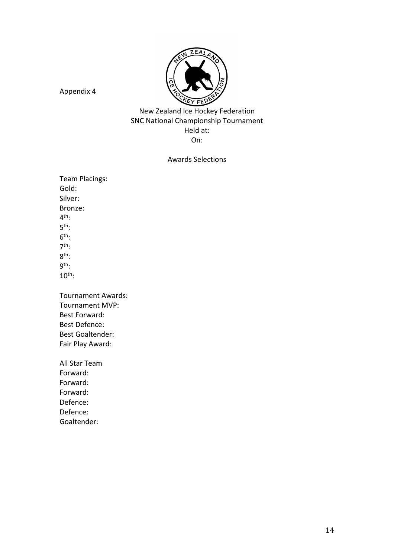

New Zealand Ice Hockey Federation SNC National Championship Tournament Held at: On:

## Awards Selections

Team Placings: Gold: Silver: Bronze: 4 th: 5 th:  $6^{\text{th}}$ : 7 th: 8 th: 9 th: 10th:

Tournament Awards: Tournament MVP: Best Forward: Best Defence: Best Goaltender: Fair Play Award:

All Star Team Forward: Forward: Forward: Defence: Defence: Goaltender: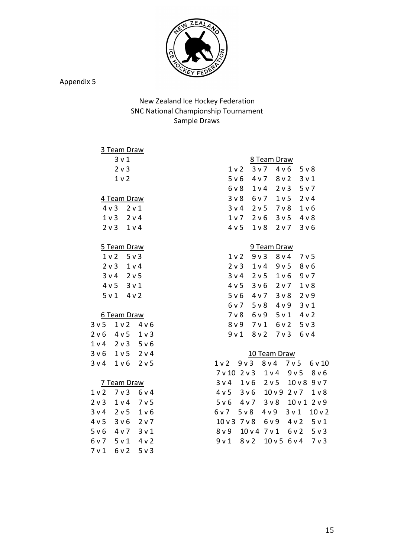

## New Zealand Ice Hockey Federation SNC National Championship Tournament Sample Draws

#### 3 Team Draw

3 v 1 2 v 3

# 1 v 2

4 Team Draw

| 4 v 3          | 2 v 1 |
|----------------|-------|
| 1 v 3          | 2 v 4 |
| 2 <sub>v</sub> | 1 v 4 |

## 5 Team Draw

| 1 <sub>v</sub> | $5v$ 3           |
|----------------|------------------|
| 2 <sub>v</sub> | 1 v 4            |
| 3 v 4          | 2 v 5            |
| 4 v 5          | 3 <sub>v</sub> 1 |
| 5 v 1          | 4 v 2            |

#### 6 Team Draw

| 3 <sub>v</sub> 5 | 1 v 2          | 4 v 6            |
|------------------|----------------|------------------|
| 2 v 6            | 4 v 5          | 1 <sub>v</sub>   |
| 1 v 4            | 2 <sub>v</sub> | 5 v 6            |
| 3 v 6            | 1 <sub>v</sub> | 2 v 4            |
| 3 v 4            | 1 v 6          | 2 <sub>v</sub> 5 |

## 7 Team Draw

| 1 <sub>v</sub> | 7 v 3 | 6 v 4      |
|----------------|-------|------------|
| 2 v 3          | 1 v 4 | 7 v 5      |
| 3 v 4          | 2 v 5 | $1\vee 6$  |
| 4 v 5          | 3 v 6 | $2 \vee 7$ |
|                |       |            |
| 5 v 6          | 4 v 7 | 3 v 1      |
| 6 v 7          | 5 v 1 | 4 v 2      |
| 7 v 1          | 6 v 2 | 5 v 3      |

#### 8 Team Draw

| 1 <sub>v</sub> | 3 v 7 | 4 v 6            | 5 v 8            |
|----------------|-------|------------------|------------------|
| 5 v 6          | 4 v 7 | 8 v 2            | 3 <sub>v</sub> 1 |
| 6 v 8          | 1 v 4 | 2 <sub>v</sub>   | 5 v 7            |
| 3 v 8          | 6 v 7 | 1 <sub>v</sub> 5 | 2 v 4            |
| 3 v 4          | 2 v 5 | 7 v 8            | 1 <sub>v</sub> 6 |
| 1 v 7          | 2 v 6 | 3 <sub>v</sub> 5 | 4 v 8            |
| 4 v 5          | 1 v 8 | 2 v 7            | 3 <sub>v</sub> 6 |

#### 9 Team Draw

| 1 <sub>v</sub> | 9 v 3          | 8 v 4          | 7 v 5            |
|----------------|----------------|----------------|------------------|
| $2 \vee 3$     | 1 v 4          | 9 v 5          | 8 v 6            |
| 3 v 4          | 2 v 5          | 1 v 6          | 9 v 7            |
| 4 v 5          | 3 v 6          | 2 <sub>v</sub> | $1V$ 8           |
| 5 v 6          | 4 v 7          | 3 <sub>v</sub> | 2 v 9            |
| 6 v 7          | 5 <sub>v</sub> | 4 v 9          | 3 <sub>v</sub> 1 |
| 7 v 8          | 6 v 9          | 5 v 1          | 4 v 2            |
| 8 v 9          | 7 v 1          | 6 v 2          | $5v$ 3           |
| 9 v 1          | 8 v 2          | 7 <sub>v</sub> | 6 v 4            |

#### 10 Team Draw

|  | 1v2 9v3 8v4 7v5 6v10<br>7v10 2v3 1v4 9v5 8v6<br>3v4 1v6 2v5 10v8 9v7<br>4v5 3v6 10v9 2v7 1v8<br>5v6 4v7 3v8 10v1 2v9<br>6v7 5v8 4v9 3v1 10v2<br>10 v 3 7 v 8 6 v 9 4 v 2 5 v 1<br>8v9 10v4 7v1 6v2 5v3<br>9v1 8v2 10v5 6v4 7v3 |
|--|--------------------------------------------------------------------------------------------------------------------------------------------------------------------------------------------------------------------------------|